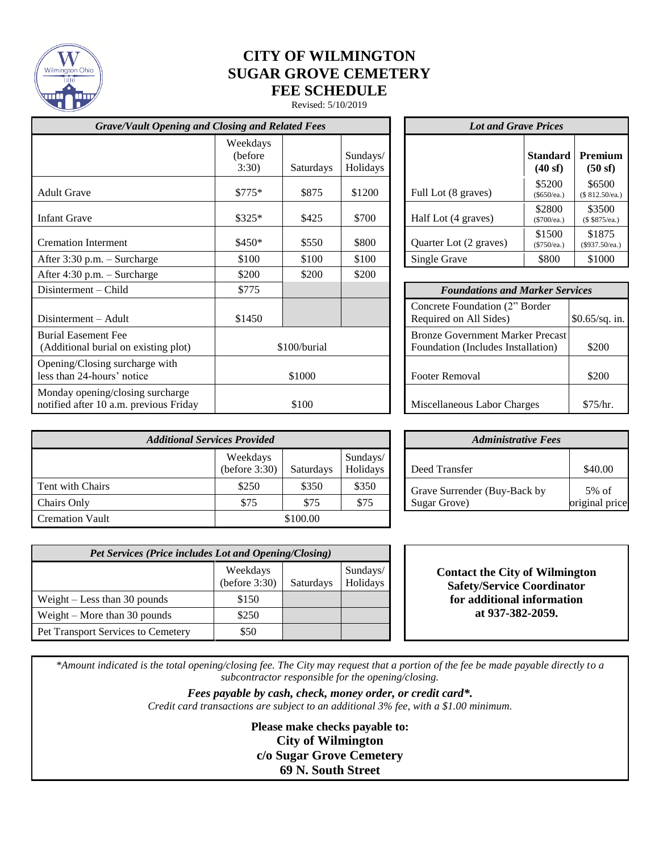

# **CITY OF WILMINGTON SUGAR GROVE CEMETERY FEE SCHEDULE**

Revised: 5/10/2019

| <b>Grave/Vault Opening and Closing and Related Fees</b>                    |                               |           |                       | <b>Lot and Grave Prices</b>                                                   |                                                          |                           |                       |
|----------------------------------------------------------------------------|-------------------------------|-----------|-----------------------|-------------------------------------------------------------------------------|----------------------------------------------------------|---------------------------|-----------------------|
|                                                                            | Weekdays<br>(before)<br>3:30) | Saturdays | Sundays/<br>Holidays  |                                                                               |                                                          | <b>Standard</b><br>(40sf) | Premiu<br>(50 sf)     |
| <b>Adult Grave</b>                                                         | $$775*$                       | \$875     | \$1200                |                                                                               | Full Lot (8 graves)                                      | \$5200<br>(\$650/ea.)     | \$6500<br>(\$812.50/e |
| <b>Infant Grave</b>                                                        | $$325*$                       | \$425     | \$700                 |                                                                               | Half Lot (4 graves)                                      | \$2800<br>(\$700/ea.)     | \$3500<br>(\$\$875/ea |
| <b>Cremation Interment</b>                                                 | \$450*                        | \$550     | \$800                 |                                                                               | Quarter Lot (2 graves)                                   | \$1500<br>(\$750/ea.)     | \$1875<br>(\$937.50/e |
| After 3:30 p.m. - Surcharge                                                | \$100                         | \$100     | \$100                 |                                                                               | Single Grave                                             | \$800                     | \$1000                |
| After 4:30 p.m. - Surcharge                                                | \$200                         | \$200     | \$200                 |                                                                               |                                                          |                           |                       |
| Disinterment – Child                                                       | \$775                         |           |                       |                                                                               | <b>Foundations and Marker Services</b>                   |                           |                       |
| Disinterment – Adult                                                       | \$1450                        |           |                       |                                                                               | Concrete Foundation (2" Border<br>Required on All Sides) |                           | \$0.65/sq.            |
| <b>Burial Easement Fee</b><br>(Additional burial on existing plot)         | \$100/burial                  |           |                       | <b>Bronze Government Marker Precast</b><br>Foundation (Includes Installation) |                                                          | \$200                     |                       |
| Opening/Closing surcharge with<br>less than 24-hours' notice               | \$1000                        |           | <b>Footer Removal</b> |                                                                               |                                                          | \$200                     |                       |
| Monday opening/closing surcharge<br>notified after 10 a.m. previous Friday | \$100                         |           |                       | Miscellaneous Labor Charges                                                   |                                                          | \$75/hr.                  |                       |

| <b>Lot and Grave Prices</b> |                           |                             |  |  |  |
|-----------------------------|---------------------------|-----------------------------|--|--|--|
|                             | <b>Standard</b><br>(40sf) | Premium<br>(50sf)           |  |  |  |
| Full Lot (8 graves)         | \$5200<br>(\$650/ea.)     | \$6500<br>(\$ 812.50/ea.)   |  |  |  |
| Half Lot (4 graves)         | \$2800<br>(\$700/ea.)     | \$3500<br>(\$875/ea.)       |  |  |  |
| Quarter Lot (2 graves)      | \$1500<br>(\$750/ea.)     | \$1875<br>$($ \$937.50/ea.) |  |  |  |
| Single Grave                | \$800                     | \$1000                      |  |  |  |

| <b>Foundations and Marker Services</b>                                        |                 |  |  |  |  |
|-------------------------------------------------------------------------------|-----------------|--|--|--|--|
| Concrete Foundation (2" Border<br>Required on All Sides)                      | $$0.65/sq.$ in. |  |  |  |  |
| <b>Bronze Government Marker Precast</b><br>Foundation (Includes Installation) | \$200           |  |  |  |  |
| Footer Removal                                                                | \$200           |  |  |  |  |
| Miscellaneous Labor Charges                                                   | \$75/hr         |  |  |  |  |

| <b>Additional Services Provided</b> |                              |                  |                      | <b>Administrative Fees</b>   |                   |
|-------------------------------------|------------------------------|------------------|----------------------|------------------------------|-------------------|
|                                     | Weekdays<br>(before $3:30$ ) | <b>Saturdays</b> | Sundays/<br>Holidays | Deed Transfer                | \$40.00           |
| Tent with Chairs                    | \$250                        | \$350            | \$350                | Grave Surrender (Buy-Back by | $5\% \text{ of }$ |
| Chairs Only                         | \$75                         | \$75             | \$75                 | Sugar Grove)                 | original price    |
| <b>Cremation Vault</b>              |                              | \$100.00         |                      |                              |                   |

|                      | <b>Administrative Fees</b>   |                |
|----------------------|------------------------------|----------------|
| Sundays/<br>Holidays | Deed Transfer                | \$40.00        |
| \$350                | Grave Surrender (Buy-Back by | $5\%$ of       |
| \$75                 | Sugar Grove)                 | original price |

| <b>Pet Services (Price includes Lot and Opening/Closing)</b> |                           |           |                      |  |  |
|--------------------------------------------------------------|---------------------------|-----------|----------------------|--|--|
|                                                              | Weekdays<br>(before 3:30) | Saturdays | Sundays/<br>Holidays |  |  |
| Weight $-$ Less than 30 pounds                               | \$150                     |           |                      |  |  |
| Weight $-$ More than 30 pounds                               | \$250                     |           |                      |  |  |
| <b>Pet Transport Services to Cemetery</b>                    | \$50                      |           |                      |  |  |

| <b>Contact the City of Wilmington</b> |
|---------------------------------------|
| <b>Safety/Service Coordinator</b>     |
| for additional information            |
| at 937-382-2059.                      |

*\*Amount indicated is the total opening/closing fee. The City may request that a portion of the fee be made payable directly to a subcontractor responsible for the opening/closing.* 

> *Fees payable by cash, check, money order, or credit card\*. Credit card transactions are subject to an additional 3% fee, with a \$1.00 minimum.*

> > **Please make checks payable to: City of Wilmington c/o Sugar Grove Cemetery 69 N. South Street**